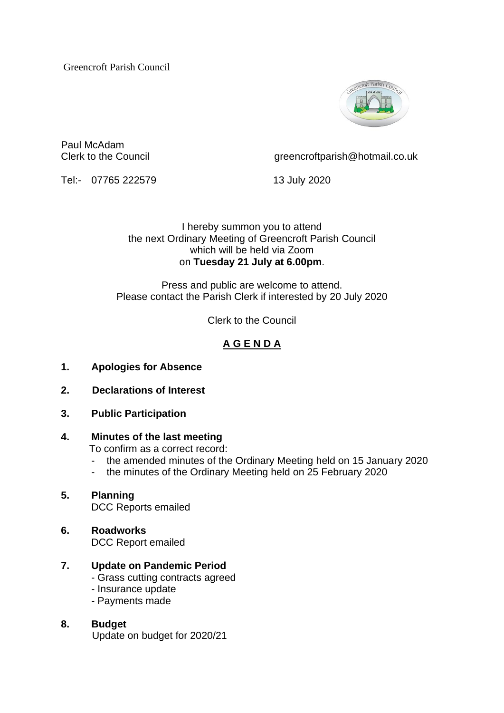Greencroft Parish Council



Paul McAdam

Clerk to the Council comparish  $\oslash$  creencroftparish  $\oslash$  hotmail.co.uk

Tel:- 07765 222579 13 July 2020

I hereby summon you to attend the next Ordinary Meeting of Greencroft Parish Council which will be held via Zoom on **Tuesday 21 July at 6.00pm**.

Press and public are welcome to attend. Please contact the Parish Clerk if interested by 20 July 2020

Clerk to the Council

# **A G E N D A**

- **1. Apologies for Absence**
- **2. Declarations of Interest**
- **3. Public Participation**

### **4. Minutes of the last meeting**

To confirm as a correct record:

- the amended minutes of the Ordinary Meeting held on 15 January 2020
- the minutes of the Ordinary Meeting held on 25 February 2020

#### **5. Planning** DCC Reports emailed

- **6. Roadworks** DCC Report emailed
- **7. Update on Pandemic Period**
	- Grass cutting contracts agreed
	- Insurance update
	- Payments made

# **8. Budget**

Update on budget for 2020/21